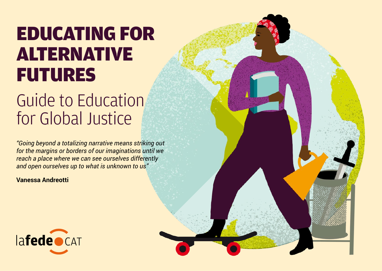# EDUCATING FOR ALTERNATIVE FUTURES

# Guide to Education for Global Justice

*"Going beyond a totalizing narrative means striking out for the margins or borders of our imaginations until we reach a place where we can see ourselves differently and open ourselves up to what is unknown to us"*

**Vanessa Andreotti**

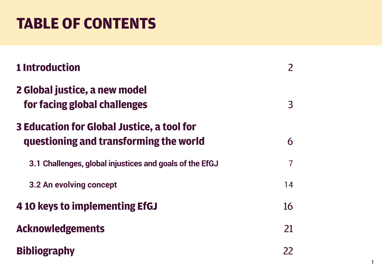# **TABLE OF CONTENTS**

| <b>1 Introduction</b>                                                                |                |
|--------------------------------------------------------------------------------------|----------------|
| 2 Global justice, a new model<br>for facing global challenges                        | $\overline{3}$ |
| 3 Education for Global Justice, a tool for<br>questioning and transforming the world | 6              |
| 3.1 Challenges, global injustices and goals of the EfGJ                              | 7              |
| 3.2 An evolving concept                                                              | 14             |
| 4 10 keys to implementing EfGJ                                                       | 16             |
| <b>Acknowledgements</b>                                                              | 21             |
| <b>Bibliography</b>                                                                  | 22             |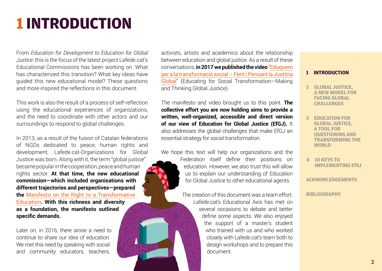# **1 INTRODUCTION**

From *Education for Development to Education for Global Justice*: this is the focus of the latest project Lafede.cat's Educational Commissions has been working on. What has characterized this transition? What key ideas have guided this new educational model? These questions and more inspired the reflections in this document.

This work is also the result of a process of self-reflection using the educational experiences of organizations, and the need to coordinate with other actors and our surroundings to respond to global challenges.

In 2013, as a result of the fusion of Catalan federations of NGOs dedicated to peace, human rights and development, Lafede.cat-Organizations for Global Justice was born. Along with it, the term "global justice" became popular in the cooperation, peace and human rights sector. **At that time, the new educational commission—which included organisations with different trajectories and perspectives—prepared the** [M](http://www.lafede.cat/wp-content/uploads/2015/09/Manifest-pel-Dret-a-una-educaci%C3%B3-transformadora.pdf)anifesto on the Right to a Transformative Education**. With this richness and diversity as a foundation, the manifesto outlined specific demands.**

Later on, in 2016, there arose a need to continue to share our idea of education. We met this need by speaking with social and community educators, teachers,

activists, artists and academics about the relationship between education and global justice. As a result of these conversations, **in 2017 we published the video** "[Eduquem](https://www.youtube.com/watch?v=5rI6efaLJGM&feature=youtu.be) [per a la transformació social – Fent i Pensant la Justícia](https://www.youtube.com/watch?v=5rI6efaLJGM&feature=youtu.be) [Global](https://www.youtube.com/watch?v=5rI6efaLJGM&feature=youtu.be)" (Educating for Social Transformation—Making and Thinking Global Justice).

The manifesto and video brought us to this point. **The collective effort you are now holding aims to provide a written, well-organized, accessible and direct version of our view of Education for Global Justice (EfGJ).** It also addresses the global challenges that make EfGJ an essential strategy for social transformation.

We hope this text will help our organizations and the Federation itself define their positions on education. However, we also trust this will allow us to explain our understanding of Education for Global Justice to other educational agents.

> The creation of this document was a team effort. Lafede.cat's Educational Axis has met on several occasions to debate and better define some aspects. We also enjoyed the support of a master's student who trained with us and who worked closely with Lafede.cat's team both to design workshops and to prepare this document.

#### **1 INTRODUCTION**

- **2 GLOBAL JUSTICE, A NEW MODEL FOR FACING GLOBAL CHALLENGES**
- **3 EDUCATION FOR GLOBAL JUSTICE, A TOOL FOR QUESTIONING AND TRANSFORMING THE WORLD**
- **4 [10 KEYS TO](#page-16-0)  [IMPLEMENTING EfGJ](#page-16-0)**

**ACKNOWLEDGEM[ENTS](#page-22-0)**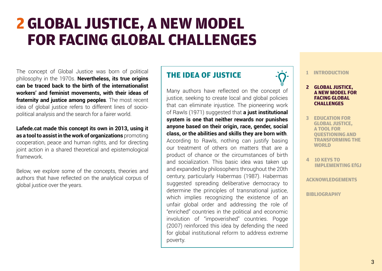# **2 GLOBAL JUSTICE, A NEW MODEL FOR FACING GLOBAL CHALLENGES**

The concept of Global Justice was born of political philosophy in the 1970s. **Nevertheless, its true origins can be traced back to the birth of the internationalist workers' and feminist movements, with their ideas of fraternity and justice among peoples**. The most recent idea of global justice refers to different lines of sociopolitical analysis and the search for a fairer world.

**Lafede.cat made this concept its own in 2013, using it as a tool to assist in the work of organizations** promoting cooperation, peace and human rights, and for directing joint action in a shared theoretical and epistemological framework.

Below, we explore some of the concepts, theories and authors that have reflected on the analytical corpus of global justice over the years.

### **THE IDEA OF JUSTICE**

Many authors have reflected on the concept of justice, seeking to create local and global policies that can eliminate injustice. The pioneering work of Rawls (1971) suggested that **a just institutional system is one that neither rewards nor punishes anyone based on their origin, race, gender, social class, or the abilities and skills they are born with**.

According to Rawls, nothing can justify basing our treatment of others on matters that are a product of chance or the circumstances of birth and socialization. This basic idea was taken up and expanded by philosophers throughout the 20th century, particularly Habermas (1987). Habermas suggested spreading deliberative democracy to determine the principles of transnational justice, which implies recognizing the existence of an unfair global order and addressing the role of "enriched" countries in the political and economic involution of "impoverished" countries. Pogge (2007) reinforced this idea by defending the need for global institutional reform to address extreme poverty.

**1 INTRODUCTION**

#### **2 GLOBAL JUSTICE, A NEW MODEL FOR FACING GLOBAL CHALLENGES**

- **3 EDUCATION FOR GLOBAL JUSTICE, A TOOL FOR QUESTIONING AND TRANSFORMING THE WORLD**
- **4 [10 KEYS TO](#page-16-0)  [IMPLEMENTING EfGJ](#page-16-0)**

**ACKNOWLEDGEM[ENTS](#page-22-0)**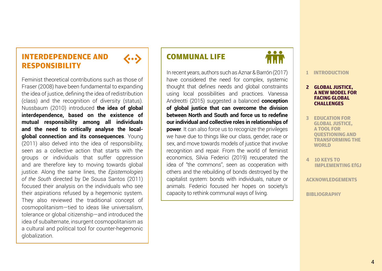## **INTERDEPENDENCE AND RESPONSIBILITY**

Feminist theoretical contributions such as those of Fraser (2008) have been fundamental to expanding the idea of justice, defining the idea of redistribution (class) and the recognition of diversity (status). Nussbaum (2010) introduced **the idea of global interdependence, based on the existence of mutual responsibility among all individuals and the need to critically analyse the localglobal connection and its consequences**. Young (2011) also delved into the idea of responsibility, seen as a collective action that starts with the groups or individuals that suffer oppression and are therefore key to moving towards global justice. Along the same lines, the *Epistemologies of the South* directed by De Sousa Santos (2011) focused their analysis on the individuals who see their aspirations refused by a hegemonic system. They also reviewed the traditional concept of cosmopolitanism—tied to ideas like universalism, tolerance or global citizenship—and introduced the idea of subalternate, insurgent cosmopolitanism as a cultural and political tool for counter-hegemonic globalization.



 $\langle \mathbf{...} \rangle$ 

In recent years, authors such as Aznar & Barrón (2017) have considered the need for complex, systemic thought that defines needs and global constraints using local possibilities and practices. Vanessa Andreotti (2015) suggested a balanced **conception of global justice that can overcome the division between North and South and force us to redefine our individual and collective roles in relationships of power**. It can also force us to recognize the privileges we have due to things like our class, gender, race or sex, and move towards models of justice that involve recognition and repair. From the world of feminist economics, Silvia Federici (2019) recuperated the idea of "the commons", seen as cooperation with others and the rebuilding of bonds destroyed by the capitalist system: bonds with individuals, nature or animals. Federici focused her hopes on society's capacity to rethink communal ways of living.

# **1 INTRODUCTION**

 $\bullet$   $\bullet$   $\bullet$ 

#### **2 GLOBAL JUSTICE, A NEW MODEL FOR FACING GLOBAL CHALLENGES**

- **3 EDUCATION FOR GLOBAL JUSTICE, A TOOL FOR QUESTIONING AND TRANSFORMING THE WORLD**
- **4 [10 KEYS TO](#page-16-0)  [IMPLEMENTING EfGJ](#page-16-0)**

**ACKNOWLEDGEM[ENTS](#page-22-0)**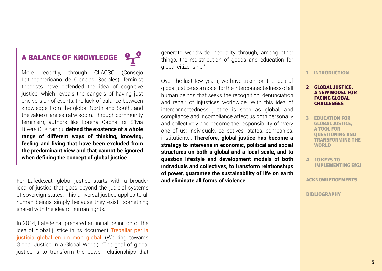## **A BALANCE OF KNOWLEDGE**

More recently, through CLACSO (Consejo Latinoamericano de Ciencias Sociales), feminist theorists have defended the idea of cognitive justice, which reveals the dangers of having just one version of events, the lack of balance between knowledge from the global North and South, and the value of ancestral wisdom. Through community feminism, authors like Lorena Cabnal or Sílvia Rivera Cusicanqui **defend the existence of a whole range of different ways of thinking, knowing, feeling and living that have been excluded from the predominant view and that cannot be ignored when defining the concept of global justice**.

For Lafede.cat, global justice starts with a broader idea of justice that goes beyond the judicial systems of sovereign states. This universal justice applies to all human beings simply because they exist—something shared with the idea of human rights.

In 2014, Lafede.cat prepared an initial definition of the idea of global justice in its document [Treballar per la](Treballar_per_la_justicia_global_PUBLIC_DEF) [justícia global en un món global](Treballar_per_la_justicia_global_PUBLIC_DEF): (Working towards Global Justice in a Global World): "The goal of global justice is to transform the power relationships that generate worldwide inequality through, among other things, the redistribution of goods and education for global citizenship."

Over the last few years, we have taken on the idea of global justice as a model for the interconnectedness of all human beings that seeks the recognition, denunciation and repair of injustices worldwide. With this idea of interconnectedness justice is seen as global, and compliance and incompliance affect us both personally and collectively and become the responsibility of every one of us: individuals, collectives, states, companies, institutions... **Therefore, global justice has become a strategy to intervene in economic, political and social structures on both a global and a local scale, and to question lifestyle and development models of both individuals and collectives, to transform relationships of power, guarantee the sustainability of life on earth and eliminate all forms of violence**.

#### **1 INTRODUCTION**

#### **2 GLOBAL JUSTICE, A NEW MODEL FOR FACING GLOBAL CHALLENGES**

- **3 EDUCATION FOR GLOBAL JUSTICE, A TOOL FOR QUESTIONING AND TRANSFORMING THE WORLD**
- **4 [10 KEYS TO](#page-16-0)  [IMPLEMENTING EfGJ](#page-16-0)**

**ACKNOWLEDGEM[ENTS](#page-22-0)**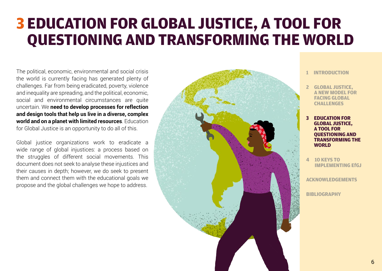# **3 EDUCATION FOR GLOBAL JUSTICE, A TOOL FOR QUESTIONING AND TRANSFORMING THE WORLD**

The political, economic, environmental and social crisis the world is currently facing has generated plenty of challenges. Far from being eradicated, poverty, violence and inequality are spreading, and the political, economic, social and environmental circumstances are quite uncertain. We **need to develop processes for reflection and design tools that help us live in a diverse, complex world and on a planet with limited resources**. Education for Global Justice is an opportunity to do all of this.

Global justice organizations work to eradicate a wide range of global injustices: a process based on the struggles of different social movements. This document does not seek to analyse these injustices and their causes in depth; however, we do seek to present them and connect them with the educational goals we propose and the global challenges we hope to address.



- **1 INTRODUCTION**
- **2 GLOBAL JUSTICE, A NEW MODEL FOR FACING GLOBAL CHALLENGES**
- **3 EDUCATION FOR GLOBAL JUSTICE, A TOOL FOR QUESTIONING AND TRANSFORMING THE WORLD**
- **4 [10 KEYS TO](#page-16-0)  [IMPLEMENTING EfGJ](#page-16-0)**

**ACKNOWLEDGEM[ENTS](#page-22-0)**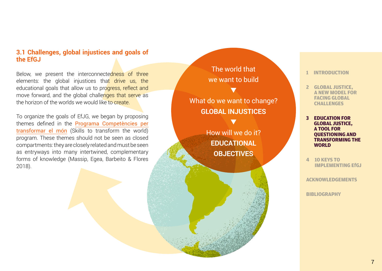#### **3.1 Challenges, global injustices and goals of the EfGJ**

Below, we present the interconnectedness of three elements: the global injustices that drive us, the educational goals that allow us to progress, reflect and move forward, and the global challenges that serve as the horizon of the worlds we would like to create.

To organize the goals of EfJG, we began by proposing themes defined in the [Programa Competències per](http://competenciasyepd.edualter.org/ca)  [transformar el món](http://competenciasyepd.edualter.org/ca) (Skills to transform the world) program. These themes should not be seen as closed compartments: they are closely related and must be seen as entryways into many intertwined, complementary forms of knowledge (Massip, Egea, Barbeito & Flores 2018).

The world that we want to build

▼

## What do we want to change? **GLOBAL INJUSTICES**

▼

How will we do it? **EDUCATIONAL OBJECTIVES**

**1 INTRODUCTION**

- **2 GLOBAL JUSTICE, A NEW MODEL FOR FACING GLOBAL CHALLENGES**
- **3 EDUCATION FOR GLOBAL JUSTICE, A TOOL FOR QUESTIONING AND TRANSFORMING THE WORLD**
- **4 [10 KEYS TO](#page-16-0)  [IMPLEMENTING EfGJ](#page-16-0)**

**ACKNOWLEDGEM[ENTS](#page-22-0)**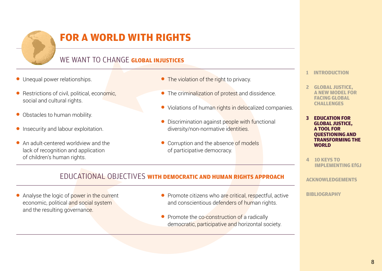

# **FOR A WORLD WITH RIGHTS**

## WE WANT TO CHANGE **GLOBAL INJUSTICES**

- Unequal power relationships.
- Restrictions of civil, political, economic, social and cultural rights.
- Obstacles to human mobility.
- Insecurity and labour exploitation.
- An adult-centered worldview and the lack of recognition and application of children's human rights.
- The violation of the right to privacy.
- The criminalization of protest and dissidence.
- Violations of human rights in delocalized companies.
- Discrimination against people with functional diversity/non-normative identities.
- Corruption and the absence of models of participative democracy.
- **1 INTRODUCTION**
- **2 GLOBAL JUSTICE, A NEW MODEL FOR FACING GLOBAL CHALLENGES**
- **3 EDUCATION FOR GLOBAL JUSTICE, A TOOL FOR QUESTIONING AND TRANSFORMING THE WORLD**
- **4 [10 KEYS TO](#page-16-0)  [IMPLEMENTING EfGJ](#page-16-0)**

**ACKNOWLEDGEM[ENTS](#page-22-0)**

**[BIBLIOGRAPHY](#page-22-0)**

### EDUCATIONAL OBJECTIVES **WITH DEMOCRATIC AND HUMAN RIGHTS APPROACH**

● Analyse the logic of power in the current economic, political and social system and the resulting governance.

- Promote citizens who are critical, respectful, active and conscientious defenders of human rights.
- Promote the co-construction of a radically democratic, participative and horizontal society.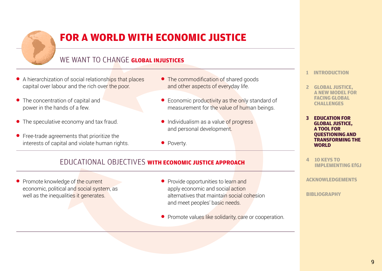

# **FOR A WORLD WITH ECONOMIC JUSTICE**

## WE WANT TO CHANGE **GLOBAL INJUSTICES**

- A hierarchization of social relationships that places capital over labour and the rich over the poor.
- The concentration of capital and power in the hands of a few.
- The speculative economy and tax fraud.
- Free-trade agreements that prioritize the interests of capital and violate human rights.
- The commodification of shared goods and other aspects of everyday life.
- Economic productivity as the only standard of measurement for the value of human beings.
- Individualism as a value of progress and personal development.
- Poverty.

### EDUCATIONAL OBJECTIVES **WITH ECONOMIC JUSTICE APPROACH**

● Promote knowledge of the current economic, political and social system, as well as the inequalities it generates.

- Provide opportunities to learn and apply economic and social action alternatives that maintain social cohesion and meet peoples' basic needs.
- Promote values like solidarity, care or cooperation.
- **1 INTRODUCTION**
- **2 GLOBAL JUSTICE, A NEW MODEL FOR FACING GLOBAL CHALLENGES**
- **3 EDUCATION FOR GLOBAL JUSTICE, A TOOL FOR QUESTIONING AND TRANSFORMING THE WORLD**
- **4 [10 KEYS TO](#page-16-0)  [IMPLEMENTING EfGJ](#page-16-0)**

**ACKNOWLEDGEM[ENTS](#page-22-0)**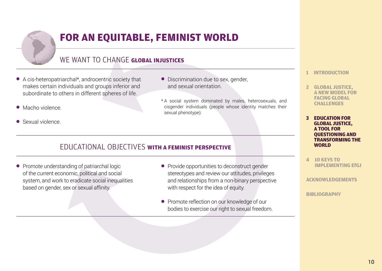

# **FOR AN EQUITABLE, FEMINIST WORLD**

## WE WANT TO CHANGE GLOBAL INJUSTICES

- A cis-heteropatriarchal\*, androcentric society that makes certain individuals and groups inferior and subordinate to others in different spheres of life.
- Macho violence
- Sexual violence.
- Discrimination due to sex, gender, and sexual orientation.
- \* A social system dominated by males, heterosexuals, and cisgender individuals (people whose identity matches their sexual phenotype).

### EDUCATIONAL OBJECTIVES **WITH A FEMINIST PERSPECTIVE**

- Promote understanding of patriarchal logic of the current economic, political and social system, and work to eradicate social inequalities based on gender, sex or sexual affinity.
- Provide opportunities to deconstruct gender stereotypes and review our attitudes, privileges and relationships from a non-binary perspective with respect for the idea of equity.
- Promote reflection on our knowledge of our bodies to exercise our right to sexual freedom.
- **1 INTRODUCTION**
- **2 GLOBAL JUSTICE, A NEW MODEL FOR FACING GLOBAL CHALLENGES**
- **3 EDUCATION FOR GLOBAL JUSTICE, A TOOL FOR QUESTIONING AND TRANSFORMING THE WORLD**
- **4 [10 KEYS TO](#page-16-0)  [IMPLEMENTING EfGJ](#page-16-0)**

**ACKNOWLEDGEM[ENTS](#page-22-0)**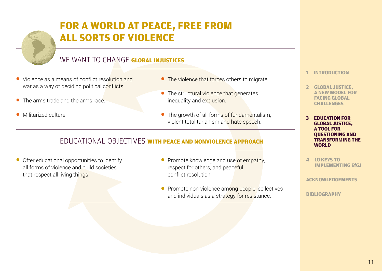# **FOR A WORLD AT PEACE, FREE FROM ALL SORTS OF VIOLENCE**

## WE WANT TO CHANGE **GLOBAL INJUSTICES**

- Violence as a means of conflict resolution and war as a way of deciding political conflicts.
- The arms trade and the arms race.
- Militarized culture.
- The violence that forces others to migrate.
- The structural violence that generates inequality and exclusion.
- The growth of all forms of fundamentalism, violent totalitarianism and hate speech.

### EDUCATIONAL OBJECTIVES **WITH PEACE AND NONVIOLENCE APPROACH**

● Offer educational opportunities to identify all forms of violence and build societies that respect all living things.

- Promote knowledge and use of empathy, respect for others, and peaceful conflict resolution.
- Promote non-violence among people, collectives and individuals as a strategy for resistance.

**1 INTRODUCTION**

- **2 GLOBAL JUSTICE, A NEW MODEL FOR FACING GLOBAL CHALLENGES**
- **3 EDUCATION FOR GLOBAL JUSTICE, A TOOL FOR QUESTIONING AND TRANSFORMING THE WORLD**
- **4 [10 KEYS TO](#page-16-0)  [IMPLEMENTING EfGJ](#page-16-0)**

**ACKNOWLEDGEM[ENTS](#page-22-0)**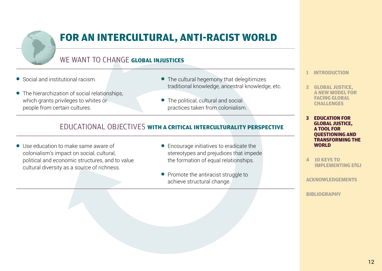

# **FOR AN INTERCULTURAL, ANTI-RACIST WORLD**

## WE WANT TO CHANGE **GLOBAL INJUSTICES**

- Social and institutional racism.
- The hierarchization of social relationships, which grants privileges to whites or people from certain cultures.
- The cultural hegemony that delegitimizes traditional knowledge, ancestral knowledge, etc.
- $\bullet$  The political, cultural and social practices taken from colonialism.

### EDUCATIONAL OBJECTIVES **WITH A CRITICAL INTERCULTURALITY PERSPECTIVE**

- Use education to make same aware of colonialism's impact on social, cultural, political and economic structures, and to value cultural diversity as a source of richness.
- Encourage initiatives to eradicate the stereotypes and prejudices that impede the formation of equal relationships.
- Promote the antiracist struggle to achieve structural change.
- **1 INTRODUCTION**
- **2 GLOBAL JUSTICE, A NEW MODEL FOR FACING GLOBAL CHALLENGES**
- **3 EDUCATION FOR GLOBAL JUSTICE, A TOOL FOR QUESTIONING AND TRANSFORMING THE WORLD**
- **4 [10 KEYS TO](#page-16-0)  [IMPLEMENTING EfGJ](#page-16-0)**

**ACKNOWLEDGEM[ENTS](#page-22-0)**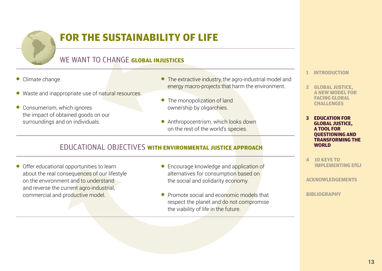

# **FOR THE SUSTAINABILITY OF LIFE**

## WE WANT TO CHANGE **GLOBAL INJUSTICES**

- Climate change.
- Waste and inappropriate use of natural resources.
- Consumerism, which ignores the impact of obtained goods on our surroundings and on individuals.
- The extractive industry, the agro-industrial model and energy macro-projects that harm the environment.
- The monopolization of land ownership by oligarchies.
- Anthropocentrism, which looks down on the rest of the world's species.

### EDUCATIONAL OBJECTIVES **WITH ENVIRONMENTAL JUSTICE APPROACH**

● Offer educational opportunities to learn about the real consequences of our lifestyle on the environment and to understand and reverse the current agro-industrial, commercial and productive model.

- Encourage knowledge and application of alternatives for consumption based on the social and solidarity economy.
- Promote social and economic models that respect the planet and do not compromise the viability of life in the future.
- **1 INTRODUCTION**
- **2 GLOBAL JUSTICE, A NEW MODEL FOR FACING GLOBAL CHALLENGES**
- **3 EDUCATION FOR GLOBAL JUSTICE, A TOOL FOR QUESTIONING AND TRANSFORMING THE WORLD**
- **4 [10 KEYS TO](#page-16-0)  [IMPLEMENTING EfGJ](#page-16-0)**

**ACKNOWLEDGEM[ENTS](#page-22-0)**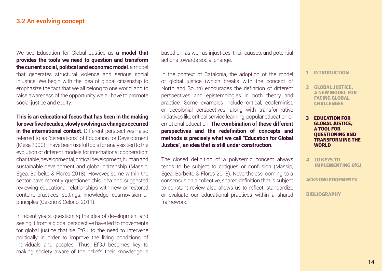#### **3.2 An evolving concept**

We see Education for Global Justice as **a model that provides the tools we need to question and transform the current social, political and economic model**, a model that generates structural violence and serious social injustice. We begin with the idea of global citizenship to emphasize the fact that we all belong to one world, and to raise awareness of the opportunity we all have to promote social justice and equity.

**This is an educational focus that has been in the making for over five decades, slowly evolving as changes occurred in the international context**. Different perspectives—also referred to as "generations" of Education for Development (Mesa 2000)—have been useful tools for analysis tied to the evolution of different models for international cooperation: charitable, developmental, critical development, human and sustainable development and global citizenship (Massip, Egea, Barbeito & Flores 2018). However, some within the sector have recently questioned this idea and suggested reviewing educational relationships with new or restored content, practices, settings, knowledge, cosmovision or principles (Celorio & Celorio, 2011).

In recent years, questioning the idea of development and seeing it from a global perspective have led to movements for global justice that tie EfGJ to the need to intervene politically in order to improve the living conditions of individuals and peoples. Thus, EfGJ becomes key to making society aware of the beliefs their knowledge is

based on, as well as injustices, their causes, and potential actions towards social change.

In the context of Catalonia, the adoption of the model of global justice (which breaks with the concept of North and South) encourages the definition of different perspectives and epistemologies in both theory and practice. Some examples include critical, ecofeminist, or decolonial perspectives, along with transformative initiatives like critical service-learning, popular education or emotional education. **The combination of these different perspectives and the redefinition of concepts and methods is precisely what we call "Education for Global Justice", an idea that is still under construction**.

The closed definition of a polysemic concept always tends to be subject to critiques or confusion (Massip, Egea, Barbeito & Flores 2018). Nevertheless, coming to a consensus on a collective, shared definition that is subject to constant review also allows us to reflect, standardize or evaluate our educational practices within a shared framework.

#### **1 INTRODUCTION**

- **2 GLOBAL JUSTICE, A NEW MODEL FOR FACING GLOBAL CHALLENGES**
- **3 EDUCATION FOR GLOBAL JUSTICE, A TOOL FOR QUESTIONING AND TRANSFORMING THE WORLD**
- **4 [10 KEYS TO](#page-16-0)  [IMPLEMENTING EfGJ](#page-16-0)**

**ACKNOWLEDGEM[ENTS](#page-22-0)**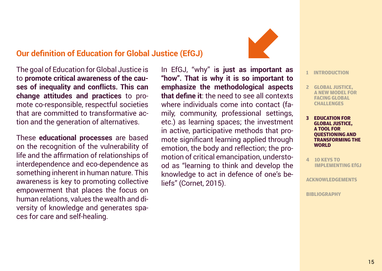## **Our definition of Education for Global Justice (EfGJ)**

The goal of Education for Global Justice is to **promote critical awareness of the causes of inequality and conflicts. This can change attitudes and practices** to promote co-responsible, respectful societies that are committed to transformative action and the generation of alternatives.

These **educational processes** are based on the recognition of the vulnerability of life and the affirmation of relationships of interdependence and eco-dependence as something inherent in human nature. This awareness is key to promoting collective empowerment that places the focus on human relations, values the wealth and diversity of knowledge and generates spaces for care and self-healing.

In EfGJ, "why" i**s just as important as "how". That is why it is so important to emphasize the methodological aspects that define it**: the need to see all contexts where individuals come into contact (family, community, professional settings, etc.) as learning spaces; the investment in active, participative methods that promote significant learning applied through emotion, the body and reflection; the promotion of critical emancipation, understood as "learning to think and develop the knowledge to act in defence of one's beliefs" (Cornet, 2015).



**1 INTRODUCTION**

- **2 GLOBAL JUSTICE, A NEW MODEL FOR FACING GLOBAL CHALLENGES**
- **3 EDUCATION FOR GLOBAL JUSTICE, A TOOL FOR QUESTIONING AND TRANSFORMING THE WORLD**
- **4 [10 KEYS TO](#page-16-0)  [IMPLEMENTING EfGJ](#page-16-0)**

**ACKNOWLEDGEM[ENTS](#page-22-0)**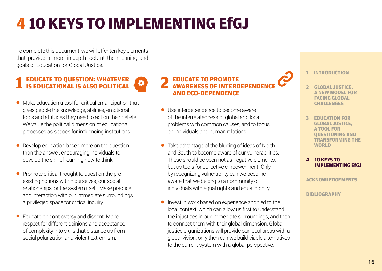# <span id="page-16-0"></span>**4 10 KEYS TO IMPLEMENTING EfGJ**

To complete this document, we will offer ten key elements that provide a more in-depth look at the meaning and goals of Education for Global Justice.

# **1 EDUCATE TO QUESTION: WHATEVER IS EDUCATIONAL IS ALSO POLITICAL**

- Make education a tool for critical emancipation that gives people the knowledge, abilities, emotional tools and attitudes they need to act on their beliefs. We value the political dimension of educational processes as spaces for influencing institutions.
- Develop education based more on the question than the answer, encouraging individuals to develop the skill of learning how to think.
- Promote critical thought to question the preexisting notions within ourselves, our social relationships, or the system itself. Make practice and interaction with our immediate surroundings a privileged space for critical inquiry.
- Educate on controversy and dissent. Make respect for different opinions and acceptance of complexity into skills that distance us from social polarization and violent extremism.

# **2 EDUCATE TO PROMOTE AWARENESS OF INTERDEPENDENCE AND ECO-DEPENDENCE**

- Use interdependence to become aware of the interrelatedness of global and local problems with common causes, and to focus on individuals and human relations.
- Take advantage of the blurring of ideas of North and South to become aware of our vulnerabilities. These should be seen not as negative elements, but as tools for collective empowerment. Only by recognizing vulnerability can we become aware that we belong to a community of individuals with equal rights and equal dignity.
- Invest in work based on experience and tied to the local context, which can allow us first to understand the injustices in our immediate surroundings, and then to connect them with their global dimension. Global justice organizations will provide our local areas with a global vision; only then can we build viable alternatives to the current system with a global perspective.

**1 INTRODUCTION**

- **2 GLOBAL JUSTICE, A NEW MODEL FOR FACING GLOBAL CHALLENGES**
- **3 EDUCATION FOR GLOBAL JUSTICE, A TOOL FOR QUESTIONING AND TRANSFORMING THE WORLD**

#### **[4 10 KEYS TO](#page-16-0)  [IMPLEMENTING EfGJ](#page-16-0)**

**ACKNOWLEDGEM[ENTS](#page-22-0)**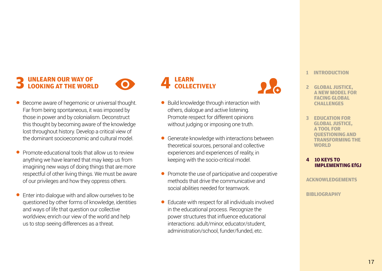# **3 UNLEARN OUR WAY OF LOOKING AT THE WORLD**



- Become aware of hegemonic or universal thought. Far from being spontaneous, it was imposed by those in power and by colonialism. Deconstruct this thought by becoming aware of the knowledge lost throughout history. Develop a critical view of the dominant socioeconomic and cultural model.
- **Promote educational tools that allow us to review** anything we have learned that may keep us from imagining new ways of doing things that are more respectful of other living things. We must be aware of our privileges and how they oppress others.
- Enter into dialogue with and allow ourselves to be questioned by other forms of knowledge, identities and ways of life that question our collective worldview, enrich our view of the world and help us to stop seeing differences as a threat.

#### **4 LEARN COLLECTIVELY**

- Build knowledge through interaction with others, dialogue and active listening. Promote respect for different opinions without judging or imposing one truth.
- Generate knowledge with interactions between theoretical sources, personal and collective experiences and experiences of reality, in keeping with the socio-critical model.
- Promote the use of participative and cooperative methods that drive the communicative and social abilities needed for teamwork.
- Educate with respect for all individuals involved in the educational process. Recognize the power structures that influence educational interactions: adult/minor, educator/student, administration/school, funder/funded, etc.



**1 INTRODUCTION**

- **2 GLOBAL JUSTICE, A NEW MODEL FOR FACING GLOBAL CHALLENGES**
- **3 EDUCATION FOR GLOBAL JUSTICE, A TOOL FOR QUESTIONING AND TRANSFORMING THE WORLD**

#### **[4 10 KEYS TO](#page-16-0)  [IMPLEMENTING EfGJ](#page-16-0)**

**ACKNOWLEDGEM[ENTS](#page-22-0)**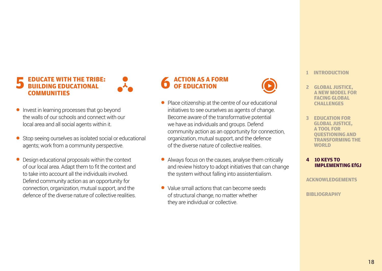# **5 EDUCATE WITH THE TRIBE: BUILDING EDUCATIONAL COMMUNITIES**

- Invest in learning processes that go beyond the walls of our schools and connect with our local area and all social agents within it.
- Stop seeing ourselves as isolated social or educational agents; work from a community perspective.
- Design educational proposals within the context of our local area. Adapt them to fit the context and to take into account all the individuals involved. Defend community action as an opportunity for connection, organization, mutual support, and the defence of the diverse nature of collective realities.

### **6 ACTION AS A FORM OF EDUCATION**

- Place citizenship at the centre of our educational initiatives to see ourselves as agents of change. Become aware of the transformative potential we have as individuals and groups. Defend community action as an opportunity for connection, organization, mutual support, and the defence of the diverse nature of collective realities.
- Always focus on the causes, analyse them critically and review history to adopt initiatives that can change the system without falling into assistentialism.
- Value small actions that can become seeds of structural change, no matter whether they are individual or collective.

#### **1 INTRODUCTION**

- **2 GLOBAL JUSTICE, A NEW MODEL FOR FACING GLOBAL CHALLENGES**
- **3 EDUCATION FOR GLOBAL JUSTICE, A TOOL FOR QUESTIONING AND TRANSFORMING THE WORLD**

#### **[4 10 KEYS TO](#page-16-0)  [IMPLEMENTING EfGJ](#page-16-0)**

**ACKNOWLEDGEM[ENTS](#page-22-0)**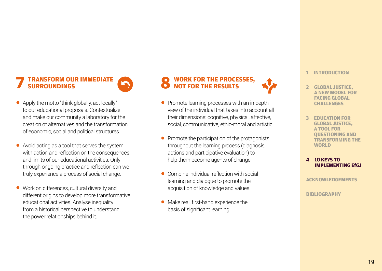### **7 TRANSFORM OUR IMMEDIATE SURROUNDINGS**



- Apply the motto "think globally, act locally" to our educational proposals. Contextualize and make our community a laboratory for the creation of alternatives and the transformation of economic, social and political structures.
- Avoid acting as a tool that serves the system with action and reflection on the consequences and limits of our educational activities. Only through ongoing practice and reflection can we truly experience a process of social change.
- Work on differences, cultural diversity and different origins to develop more transformative educational activities. Analyse inequality from a historical perspective to understand the power relationships behind it.

#### **8 WORK FOR THE PROCESSES, NOT FOR THE RESULTS**

- Promote learning processes with an in-depth view of the individual that takes into account all their dimensions: cognitive, physical, affective, social, communicative, ethic-moral and artistic.
- Promote the participation of the protagonists throughout the learning process (diagnosis, actions and participative evaluation) to help them become agents of change.
- Combine individual reflection with social learning and dialogue to promote the acquisition of knowledge and values.
- Make real, first-hand experience the basis of significant learning.



#### **1 INTRODUCTION**

- **2 GLOBAL JUSTICE, A NEW MODEL FOR FACING GLOBAL CHALLENGES**
- **3 EDUCATION FOR GLOBAL JUSTICE, A TOOL FOR QUESTIONING AND TRANSFORMING THE WORLD**

#### **[4 10 KEYS TO](#page-16-0)  [IMPLEMENTING EfGJ](#page-16-0)**

**ACKNOWLEDGEM[ENTS](#page-22-0)**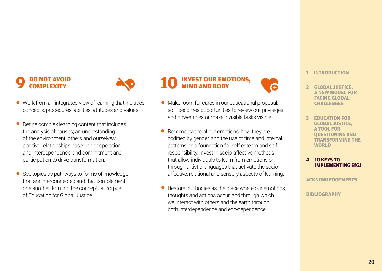### **9 DO NOT AVOID COMPLEXITY**



- Work from an integrated view of learning that includes concepts, procedures, abilities, attitudes and values.
- Define complex learning content that includes the analysis of causes; an understanding of the environment, others and ourselves; positive relationships based on cooperation and interdependence, and commitment and participation to drive transformation.
- See topics as pathways to forms of knowledge that are interconnected and that complement one another, forming the conceptual corpus of Education for Global Justice.

### **10 INVEST OUR EMOTIONS, MIND AND BODY**

- Make room for cares in our educational proposal. so it becomes opportunities to review our privileges and power roles or make invisible tasks visible.
- Become aware of our emotions, how they are codified by gender, and the use of time and internal patterns as a foundation for self-esteem and selfresponsibility. Invest in socio-affective methods that allow individuals to learn from emotions or through artistic languages that activate the socioaffective, relational and sensory aspects of learning.
- Restore our bodies as the place where our emotions, thoughts and actions occur, and through which we interact with others and the earth through both interdependence and eco-dependence.

#### **1 INTRODUCTION**

- **2 GLOBAL JUSTICE, A NEW MODEL FOR FACING GLOBAL CHALLENGES**
- **3 EDUCATION FOR GLOBAL JUSTICE, A TOOL FOR QUESTIONING AND TRANSFORMING THE WORLD**

#### **[4 10 KEYS TO](#page-16-0)  [IMPLEMENTING EfGJ](#page-16-0)**

**ACKNOWLEDGEM[ENTS](#page-22-0)**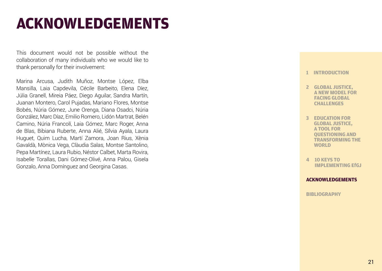# **ACKNOWLEDGEMENTS**

This document would not be possible without the collaboration of many individuals who we would like to thank personally for their involvement:

Marina Arcusa, Judith Muñoz, Montse López, Elba Mansilla, Laia Capdevila, Cécile Barbeito, Elena Díez, Júlia Granell, Mireia Páez, Diego Aguilar, Sandra Martín, Juanan Montero, Carol Pujadas, Mariano Flores, Montse Bobés, Núria Gómez, June Orenga, Diana Osadci, Núria González, Marc Díaz, Emilio Romero, Lidón Martrat, Belén Camino, Núria Francolí, Laia Gómez, Marc Roger, Anna de Blas, Bibiana Ruberte, Anna Alié, Sílvia Ayala, Laura Huguet, Quim Lucha, Martí Zamora, Joan Rius, Xènia Gavaldà, Mònica Vega, Clàudia Salas, Montse Santolino, Pepa Martínez, Laura Rubio, Néstor Calbet, Marta Rovira, Isabelle Torallas, Dani Gómez-Olivé, Anna Palou, Gisela Gonzalo, Anna Domínguez and Georgina Casas.

#### **1 INTRODUCTION**

- **2 GLOBAL JUSTICE, A NEW MODEL FOR FACING GLOBAL CHALLENGES**
- **3 EDUCATION FOR GLOBAL JUSTICE, A TOOL FOR QUESTIONING AND TRANSFORMING THE WORLD**
- **[4 10 KEYS TO](#page-16-0)  [IMPLEMENTING EfGJ](#page-16-0)**

#### **ACKNOWLEDGEM[ENTS](#page-22-0)**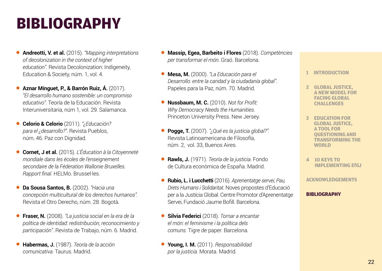# <span id="page-22-0"></span>**BIBLIOGRAPHY**

- **Andreotti, V. et al.** (2015). *"Mapping interpretations of decolonization in the context of higher*  education". Revista Decolonization: Indigeneity. Education & Society, núm. 1, vol. 4.
- **Aznar Mínguet, P., & Barrón Ruiz, Á.** (2017). *"El desarrollo humano sostenible: un compromiso educativo".* Teoría de la Educación. Revista Interuniversitaria, núm 1, vol. 29. Salamanca.
- **Celorio & Celorio** (2011). *"¿Educación? para el ¿desarrollo?"*. Revista Pueblos, núm. 46. Paz con Dignidad.
- **Cornet, J et al.** (2015). *L'Éducation à la Citoyenneté mondiale dans les écoles de l'enseignement secondaire de la Féderation Wallonie Bruxelles. Rapport final.* HELMo. Brussel·les.
- **Da Sousa Santos, B.** (2002). *"Hacia una concepción multicultural de los derechos humanos".* Revista el Otro Derecho, núm. 28. Bogotà.
- **Fraser, N.** (2008). *"La justicia social en la era de la política de identidad: redistribución, reconocimiento y participación"*. Revista de Trabajo, núm. 6. Madrid.
- **Habermas, J.** (1987). *Teoría de la acción comunicativa.* Taurus. Madrid.
- **Massip, Egea, Barbeito i Flores** (2018). *Competències per transformar el món*. Graó. Barcelona.
- **Mesa, M.** (2000). *"La Educación para el Desarrollo: entre la caridad y la ciudadanía global"*. Papeles para la Paz, núm. 70. Madrid.
- **Nussbaum, M. C.** (2010). *Not for Profit: Why Democracy Needs the Humanities.*  Princeton University Press. New Jersey.
- **Pogge, T.** (2007). *"¿Qué es la justicia global?".*  Revista Latinoamericana de Filosofía, núm. 2, vol. 33, Buenos Aires.
- **Rawls, J.** (1971). *Teoría de la justicia.* Fondo de Cultura econòmica de España. Madrid.
- **Rubio, L. i Lucchetti** (2016). *Aprenentatge servei, Pau, Drets Humans i Solidaritat.* Noves propostes d'Educació per a la Justícia Global. Centre Promotor d'Aprenentatge Servei, Fundació Jaume Bofill. Barcelona.
- **Silvia Federici** (2018). *Tornar a encantar el món: el feminisme i la política dels comuns.* Tigre de paper. Barcelona.
- **Young, I. M.** (2011). *Responsabilidad por la justicia.* Morata. Madrid.

#### **1 INTRODUCTION**

- **2 GLOBAL JUSTICE, A NEW MODEL FOR FACING GLOBAL CHALLENGES**
- **3 EDUCATION FOR GLOBAL JUSTICE, A TOOL FOR QUESTIONING AND TRANSFORMING THE WORLD**
- **[4 10 KEYS TO](#page-16-0)  [IMPLEMENTING EfGJ](#page-16-0)**

**ACKNOWLEDGEM[ENTS](#page-22-0)**